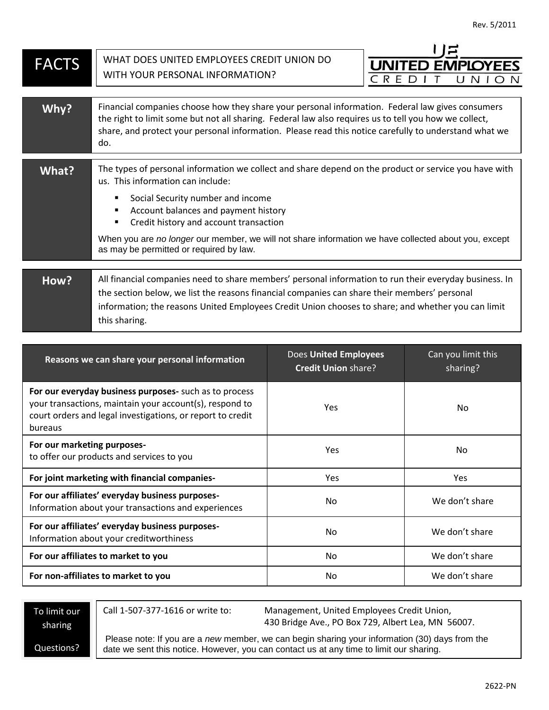| <b>FACTS</b> | WHAT DOES UNITED EMPLOYEES CREDIT UNION DO                                                                                                                                                                                                                                                                                    | <b>UNITED EMPLOYEES</b> |  |
|--------------|-------------------------------------------------------------------------------------------------------------------------------------------------------------------------------------------------------------------------------------------------------------------------------------------------------------------------------|-------------------------|--|
|              | WITH YOUR PERSONAL INFORMATION?                                                                                                                                                                                                                                                                                               | CRE<br>UNI              |  |
|              |                                                                                                                                                                                                                                                                                                                               |                         |  |
| Why?         | Financial companies choose how they share your personal information. Federal law gives consumers<br>the right to limit some but not all sharing. Federal law also requires us to tell you how we collect,<br>share, and protect your personal information. Please read this notice carefully to understand what we<br>do.     |                         |  |
| What?        | The types of personal information we collect and share depend on the product or service you have with<br>us. This information can include:                                                                                                                                                                                    |                         |  |
|              | Social Security number and income<br>Account balances and payment history<br>Credit history and account transaction                                                                                                                                                                                                           |                         |  |
|              | When you are no longer our member, we will not share information we have collected about you, except<br>as may be permitted or required by law.                                                                                                                                                                               |                         |  |
|              |                                                                                                                                                                                                                                                                                                                               |                         |  |
| How?         | All financial companies need to share members' personal information to run their everyday business. In<br>the section below, we list the reasons financial companies can share their members' personal<br>information; the reasons United Employees Credit Union chooses to share; and whether you can limit<br>this sharing. |                         |  |

| Reasons we can share your personal information                                                                                                                                             | <b>Does United Employees</b><br><b>Credit Union share?</b> | Can you limit this<br>sharing? |
|--------------------------------------------------------------------------------------------------------------------------------------------------------------------------------------------|------------------------------------------------------------|--------------------------------|
| For our everyday business purposes- such as to process<br>your transactions, maintain your account(s), respond to<br>court orders and legal investigations, or report to credit<br>bureaus | <b>Yes</b>                                                 | No.                            |
| For our marketing purposes-<br>to offer our products and services to you                                                                                                                   | <b>Yes</b>                                                 | No.                            |
| For joint marketing with financial companies-                                                                                                                                              | <b>Yes</b>                                                 | <b>Yes</b>                     |
| For our affiliates' everyday business purposes-<br>Information about your transactions and experiences                                                                                     | No.                                                        | We don't share                 |
| For our affiliates' everyday business purposes-<br>Information about your creditworthiness                                                                                                 | No.                                                        | We don't share                 |
| For our affiliates to market to you                                                                                                                                                        | No.                                                        | We don't share                 |
| For non-affiliates to market to you                                                                                                                                                        | No.                                                        | We don't share                 |

To limit our sharing

Call 1-507-377-1616 or write to: Management, United Employees Credit Union, 430 Bridge Ave., PO Box 729, Albert Lea, MN 56007.

Questions?

Please note: If you are a *new* member, we can begin sharing your information (30) days from the date we sent this notice. However, you can contact us at any time to limit our sharing.